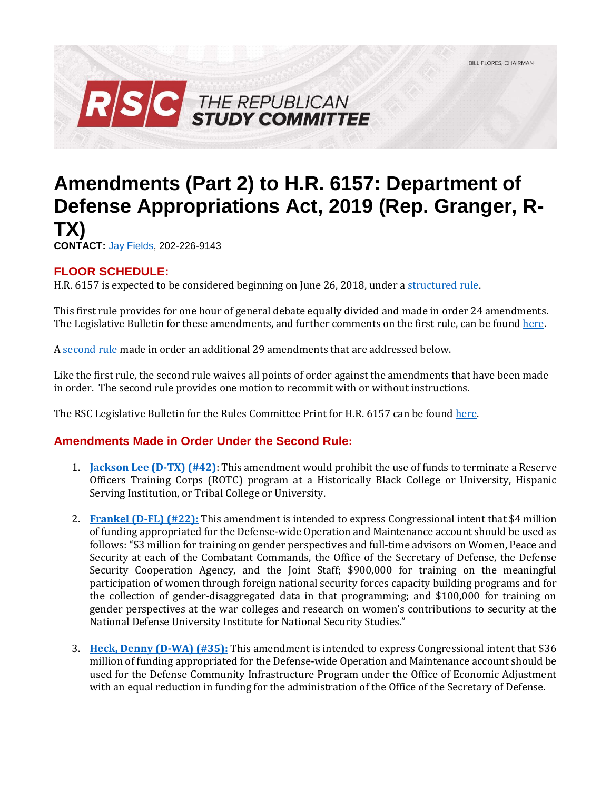

## **Amendments (Part 2) to H.R. 6157: Department of Defense Appropriations Act, 2019 (Rep. Granger, R-TX)**

**CONTACT:** [Jay Fields,](mailto:jay.fields@mail.house.gov) 202-226-9143

## **FLOOR SCHEDULE:**

H.R. 6157 is expected to be considered beginning on June 26, 2018, under [a structured rule.](https://rules.house.gov/sites/republicans.rules.house.gov/files/Rule_HR2083HR6157_0.pdf)

This first rule provides for one hour of general debate equally divided and made in order 24 amendments. The Legislative Bulletin for these amendments, and further comments on the first rule, can be found here.

A [second rule](https://rules.house.gov/sites/republicans.rules.house.gov/files/Rule_HR6157.pdf) made in order an additional 29 amendments that are addressed below.

Like the first rule, the second rule waives all points of order against the amendments that have been made in order. The second rule provides one motion to recommit with or without instructions.

The RSC Legislative Bulletin for the Rules Committee Print for H.R. 6157 can be foun[d here.](https://gallery.mailchimp.com/d4254037a343b683d142111e0/files/cb651cba-a525-4265-a11f-c4b211758003/LB_DOD_Approps_FY_2019_06252018_FINAL.02.pdf)

## **Amendments Made in Order Under the Second Rule:**

- 1. **[Jackson Lee \(D-TX\) \(#42\)](https://amendments-rules.house.gov/amendments/JACKSO_302_xml620181940484048.pdf)**: This amendment would prohibit the use of funds to terminate a Reserve Officers Training Corps (ROTC) program at a Historically Black College or University, Hispanic Serving Institution, or Tribal College or University.
- 2. **[Frankel \(D-FL\) \(#22\):](https://amendments-rules.house.gov/amendments/FRANLO_051_xml62518153006306.pdf)** This amendment is intended to express Congressional intent that \$4 million of funding appropriated for the Defense-wide Operation and Maintenance account should be used as follows: "\$3 million for training on gender perspectives and full-time advisors on Women, Peace and Security at each of the Combatant Commands, the Office of the Secretary of Defense, the Defense Security Cooperation Agency, and the Joint Staff; \$900,000 for training on the meaningful participation of women through foreign national security forces capacity building programs and for the collection of gender-disaggregated data in that programming; and \$100,000 for training on gender perspectives at the war colleges and research on women's contributions to security at the National Defense University Institute for National Security Studies."
- 3. **[Heck, Denny \(D-WA\) \(#35\):](https://amendments-rules.house.gov/amendments/HECKWA_058_xml625181252165216.pdf)** This amendment is intended to express Congressional intent that \$36 million of funding appropriated for the Defense-wide Operation and Maintenance account should be used for the Defense Community Infrastructure Program under the Office of Economic Adjustment with an equal reduction in funding for the administration of the Office of the Secretary of Defense.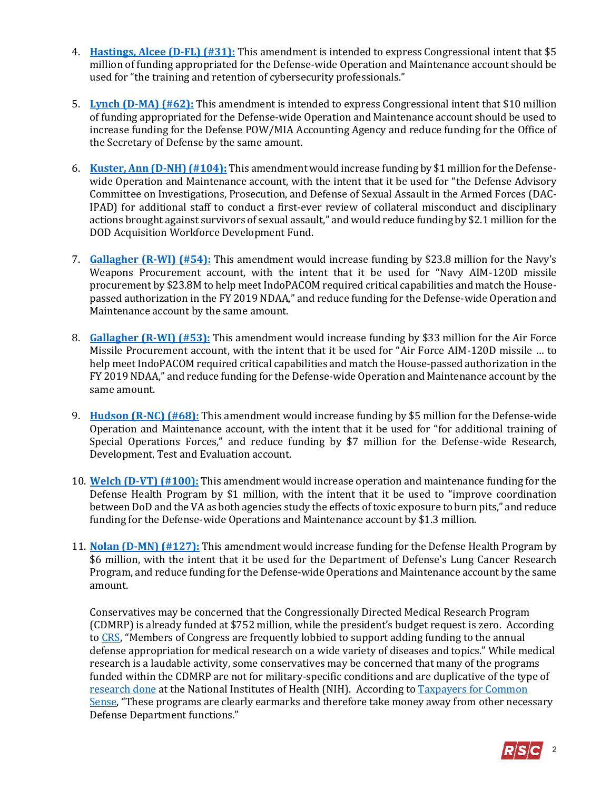- 4. **[Hastings, Alcee \(D-FL\) \(#31\):](https://amendments-rules.house.gov/amendments/HASTFL_065_xml625180956235623.pdf)** This amendment is intended to express Congressional intent that \$5 million of funding appropriated for the Defense-wide Operation and Maintenance account should be used for "the training and retention of cybersecurity professionals."
- 5. **[Lynch \(D-MA\) \(#62\):](https://amendments-rules.house.gov/amendments/LYNCH_093_xml620181740104010.pdf)** This amendment is intended to express Congressional intent that \$10 million of funding appropriated for the Defense-wide Operation and Maintenance account should be used to increase funding for the Defense POW/MIA Accounting Agency and reduce funding for the Office of the Secretary of Defense by the same amount.
- 6. **[Kuster, Ann \(D-NH\) \(#104\):](https://amendments-rules.house.gov/amendments/KUSTER_077_xml625181619571957.pdf)** This amendment would increase funding by \$1 million for the Defensewide Operation and Maintenance account, with the intent that it be used for "the Defense Advisory Committee on Investigations, Prosecution, and Defense of Sexual Assault in the Armed Forces (DAC-IPAD) for additional staff to conduct a first-ever review of collateral misconduct and disciplinary actions brought against survivors of sexual assault," and would reduce funding by \$2.1 million for the DOD Acquisition Workforce Development Fund.
- 7. **[Gallagher \(R-WI\) \(#54\):](https://amendments-rules.house.gov/amendments/GALLWI_056_xml620182127152715.pdf)** This amendment would increase funding by \$23.8 million for the Navy's Weapons Procurement account, with the intent that it be used for "Navy AIM-120D missile procurement by \$23.8M to help meet IndoPACOM required critical capabilities and match the Housepassed authorization in the FY 2019 NDAA," and reduce funding for the Defense-wide Operation and Maintenance account by the same amount.
- 8. **[Gallagher \(R-WI\) \(#53\):](https://amendments-rules.house.gov/amendments/GALLWI_057_xml62018212801281.pdf)** This amendment would increase funding by \$33 million for the Air Force Missile Procurement account, with the intent that it be used for "Air Force AIM-120D missile … to help meet IndoPACOM required critical capabilities and match the House-passed authorization in the FY 2019 NDAA," and reduce funding for the Defense-wide Operation and Maintenance account by the same amount.
- 9. **[Hudson \(R-NC\) \(#68\):](https://amendments-rules.house.gov/amendments/HUDSON_052_xml625181857595759.pdf)** This amendment would increase funding by \$5 million for the Defense-wide Operation and Maintenance account, with the intent that it be used for "for additional training of Special Operations Forces," and reduce funding by \$7 million for the Defense-wide Research, Development, Test and Evaluation account.
- 10. **[Welch \(D-VT\) \(#100\):](https://amendments-rules.house.gov/amendments/Welch095%20amend625181819481948.pdf)** This amendment would increase operation and maintenance funding for the Defense Health Program by \$1 million, with the intent that it be used to "improve coordination between DoD and the VA as both agencies study the effects of toxic exposure to burn pits," and reduce funding for the Defense-wide Operations and Maintenance account by \$1.3 million.
- 11. **[Nolan \(D-MN\) \(#127\):](https://amendments-rules.house.gov/amendments/NOLAN_106_xml622181133533353.pdf)** This amendment would increase funding for the Defense Health Program by \$6 million, with the intent that it be used for the Department of Defense's Lung Cancer Research Program, and reduce funding for the Defense-wide Operations and Maintenance account by the same amount.

Conservatives may be concerned that the Congressionally Directed Medical Research Program (CDMRP) is already funded at \$752 million, while the president's budget request is zero. According to [CRS](http://www.crs.gov/Reports/IF10349?source=search&guid=0e87c51078bc4599ab29d3c961428341&index=0), "Members of Congress are frequently lobbied to support adding funding to the annual defense appropriation for medical research on a wide variety of diseases and topics." While medical research is a laudable activity, some conservatives may be concerned that many of the programs funded within the CDMRP are not for military-specific conditions and are duplicative of the type of [research done](https://report.nih.gov/categorical_spending.aspx) at the National Institutes of Health (NIH). According to [Taxpayers for Common](http://public.cq.com/docs/weeklyreport/weeklyreport-000004132596.html)  [Sense](http://public.cq.com/docs/weeklyreport/weeklyreport-000004132596.html), "These programs are clearly earmarks and therefore take money away from other necessary Defense Department functions."

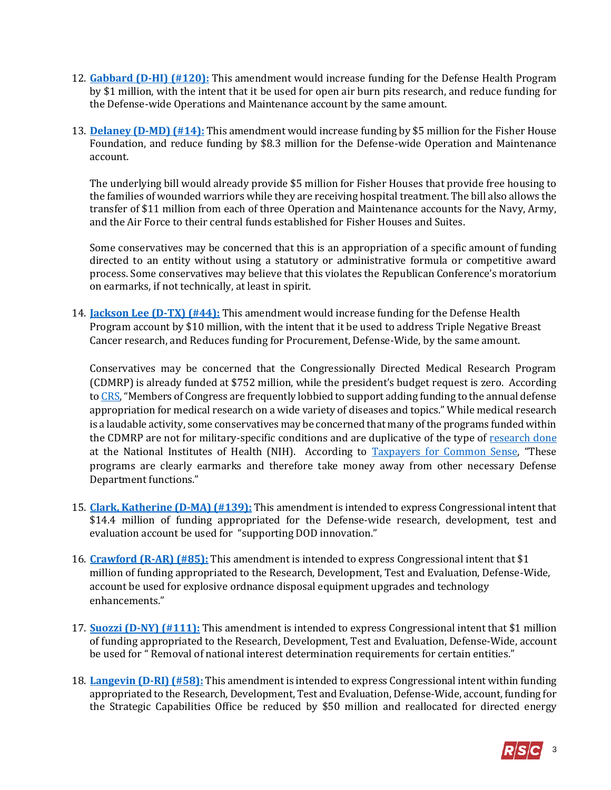- 12. **[Gabbard \(D-HI\) \(#120\):](https://amendments-rules.house.gov/amendments/GABBAR_175_xml_v262518130556556.pdf)** This amendment would increase funding for the Defense Health Program by \$1 million, with the intent that it be used for open air burn pits research, and reduce funding for the Defense-wide Operations and Maintenance account by the same amount.
- 13. **[Delaney \(D-MD\) \(#14\):](https://amendments-rules.house.gov/amendments/Delaney%20Fisher%20House625181128452845.pdf)** This amendment would increase funding by \$5 million for the Fisher House Foundation, and reduce funding by \$8.3 million for the Defense-wide Operation and Maintenance account.

The underlying bill would already provide \$5 million for Fisher Houses that provide free housing to the families of wounded warriors while they are receiving hospital treatment. The bill also allows the transfer of \$11 million from each of three Operation and Maintenance accounts for the Navy, Army, and the Air Force to their central funds established for Fisher Houses and Suites.

Some conservatives may be concerned that this is an appropriation of a specific amount of funding directed to an entity without using a statutory or administrative formula or competitive award process. Some conservatives may believe that this violates the Republican Conference's moratorium on earmarks, if not technically, at least in spirit.

14. **[Jackson Lee \(D-TX\) \(#44\):](https://amendments-rules.house.gov/amendments/JACKSO_304_xml620181943284328.pdf)** This amendment would increase funding for the Defense Health Program account by \$10 million, with the intent that it be used to address Triple Negative Breast Cancer research, and Reduces funding for Procurement, Defense-Wide, by the same amount.

Conservatives may be concerned that the Congressionally Directed Medical Research Program (CDMRP) is already funded at \$752 million, while the president's budget request is zero. According t[o CRS](http://www.crs.gov/Reports/IF10349?source=search&guid=0e87c51078bc4599ab29d3c961428341&index=0), "Members of Congress are frequently lobbied to support adding funding to the annual defense appropriation for medical research on a wide variety of diseases and topics." While medical research is a laudable activity, some conservatives may be concerned that many of the programs funded within the CDMRP are not for military-specific conditions and are duplicative of the type of [research done](https://report.nih.gov/categorical_spending.aspx) at the National Institutes of Health (NIH). According to [Taxpayers for Common Sense](http://public.cq.com/docs/weeklyreport/weeklyreport-000004132596.html), "These programs are clearly earmarks and therefore take money away from other necessary Defense Department functions."

- 15. **[Clark, Katherine \(D-MA\) \(#139\):](https://amendments-rules.house.gov/amendments/CLARMA_045_xml626181435453545.pdf)** This amendment is intended to express Congressional intent that \$14.4 million of funding appropriated for the Defense-wide research, development, test and evaluation account be used for "supporting DOD innovation."
- 16. **[Crawford \(R-AR\) \(#85\):](https://amendments-rules.house.gov/amendments/CRAWFO_049_xml625181633223322.pdf)** This amendment is intended to express Congressional intent that \$1 million of funding appropriated to the Research, Development, Test and Evaluation, Defense-Wide, account be used for explosive ordnance disposal equipment upgrades and technology enhancements."
- 17. **[Suozzi \(D-NY\) \(#111\):](https://amendments-rules.house.gov/amendments/SUOZZI_040_xml621181428492849.pdf)** This amendment is intended to express Congressional intent that \$1 million of funding appropriated to the Research, Development, Test and Evaluation, Defense-Wide, account be used for " Removal of national interest determination requirements for certain entities."
- 18. **[Langevin \(D-RI\) \(#58\):](https://amendments-rules.house.gov/amendments/LANGEV_099_xml621180857225722.pdf)** This amendment is intended to express Congressional intent within funding appropriated to the Research, Development, Test and Evaluation, Defense-Wide, account, funding for the Strategic Capabilities Office be reduced by \$50 million and reallocated for directed energy

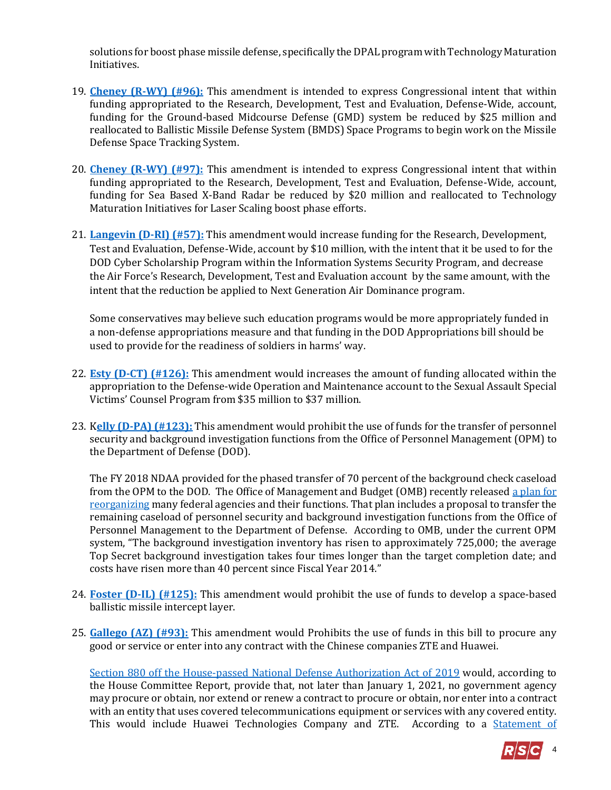solutions for boost phase missile defense, specifically the DPAL program with Technology Maturation Initiatives.

- 19. **[Cheney \(R-WY\) \(#96\):](https://amendments-rules.house.gov/amendments/CHENEY_076_xml625181021102110.pdf)** This amendment is intended to express Congressional intent that within funding appropriated to the Research, Development, Test and Evaluation, Defense-Wide, account, funding for the Ground-based Midcourse Defense (GMD) system be reduced by \$25 million and reallocated to Ballistic Missile Defense System (BMDS) Space Programs to begin work on the Missile Defense Space Tracking System.
- 20. **[Cheney \(R-WY\) \(#97\):](https://amendments-rules.house.gov/amendments/CHENEY_072_xml621180915451545.pdf)** This amendment is intended to express Congressional intent that within funding appropriated to the Research, Development, Test and Evaluation, Defense-Wide, account, funding for Sea Based X-Band Radar be reduced by \$20 million and reallocated to Technology Maturation Initiatives for Laser Scaling boost phase efforts.
- 21. **[Langevin \(D-RI\) \(#57\):](https://amendments-rules.house.gov/amendments/LANGEV_100_xml%20v2625181456385638.pdf)** This amendment would increase funding for the Research, Development, Test and Evaluation, Defense-Wide, account by \$10 million, with the intent that it be used to for the DOD Cyber Scholarship Program within the Information Systems Security Program, and decrease the Air Force's Research, Development, Test and Evaluation account by the same amount, with the intent that the reduction be applied to Next Generation Air Dominance program.

Some conservatives may believe such education programs would be more appropriately funded in a non-defense appropriations measure and that funding in the DOD Appropriations bill should be used to provide for the readiness of soldiers in harms' way.

- 22. **[Esty \(D-CT\) \(#126\):](https://amendments-rules.house.gov/amendments/ESTY_081_xml625181657435743.pdf)** This amendment would increases the amount of funding allocated within the appropriation to the Defense-wide Operation and Maintenance account to the Sexual Assault Special Victims' Counsel Program from \$35 million to \$37 million.
- 23. K**[elly \(D-PA\) \(#123\):](https://amendments-rules.house.gov/amendments/KELLPA_061_xml622180950545054.pdf)** This amendment would prohibit the use of funds for the transfer of personnel security and background investigation functions from the Office of Personnel Management (OPM) to the Department of Defense (DOD).

The FY 2018 NDAA provided for the phased transfer of 70 percent of the background check caseload from the OPM to the DOD. The Office of Management and Budget (OMB) recently released a plan for [reorganizing](https://www.performance.gov/GovReform/Reform-and-Reorg-Plan-Final.pdf#page=117) many federal agencies and their functions. That plan includes a proposal to transfer the remaining caseload of personnel security and background investigation functions from the Office of Personnel Management to the Department of Defense. According to OMB, under the current OPM system, "The background investigation inventory has risen to approximately 725,000; the average Top Secret background investigation takes four times longer than the target completion date; and costs have risen more than 40 percent since Fiscal Year 2014."

- 24. **[Foster \(D-IL\) \(#125\):](https://amendments-rules.house.gov/amendments/FOSTER_109_xml6221809060565.pdf)** This amendment would prohibit the use of funds to develop a space-based ballistic missile intercept layer.
- 25. **[Gallego \(AZ\) \(#93\):](https://amendments-rules.house.gov/amendments/GALLAZ_103_xml62518190223223.pdf)** This amendment would Prohibits the use of funds in this bill to procure any good or service or enter into any contract with the Chinese companies ZTE and Huawei.

[Section 880 off the House-passed National Defense Authorization Act of 2019](https://www.congress.gov/115/crpt/hrpt676/CRPT-115hrpt676.pdf#page=193) would, according to the House Committee Report, provide that, not later than January 1, 2021, no government agency may procure or obtain, nor extend or renew a contract to procure or obtain, nor enter into a contract with an entity that uses covered telecommunications equipment or services with any covered entity. This would include Huawei Technologies Company and ZTE. According to a Statement of